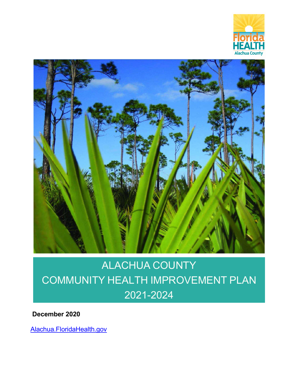



# ALACHUA COUNTY COMMUNITY HEALTH IMPROVEMENT PLAN 2021-2024

**December 2020**

Alachua.FloridaHealth.gov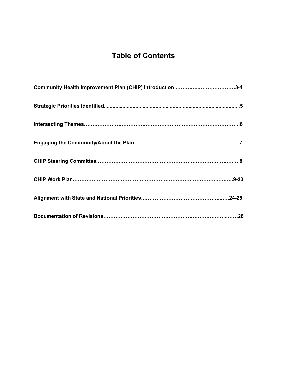# **Table of Contents**

| Community Health Improvement Plan (CHIP) Introduction 3-4 |
|-----------------------------------------------------------|
|                                                           |
|                                                           |
|                                                           |
|                                                           |
|                                                           |
|                                                           |
|                                                           |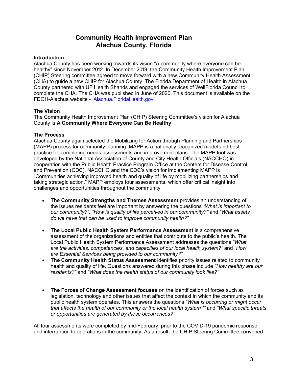# **Community Health Improvement Plan Alachua County, Florida**

### **Introduction**

Alachua County has been working towards its vision "A community where everyone can be healthy" since November 2012. In December 2019, the Community Health Improvement Plan (CHIP) Steering committee agreed to move forward with a new Community Health Assessment (CHA) to guide a new CHIP for Alachua County. The Florida Department of Health in Alachua County partnered with UF Health Shands and engaged the services of WellFlorida Council to complete the CHA. The CHA was published in June of 2020. This document is available on the FDOH-Alachua website - Alachua.FloridaHealth.gov

### **The Vision**

The Community Health Improvement Plan (CHIP) Steering Committee's vision for Alachua County is **A Community Where Everyone Can Be Healthy**

### **The Process**

Alachua County again selected the Mobilizing for Action through Planning and Partnerships (MAPP) process for community planning. MAPP is a nationally recognized model and best practice for completing needs assessments and improvement plans. The MAPP tool was developed by the National Association of County and City Health Officials (NACCHO) in cooperation with the Public Health Practice Program Office at the Centers for Disease Control and Prevention (CDC). NACCHO and the CDC's vision for implementing MAPP is "Communities achieving improved health and quality of life by mobilizing partnerships and taking strategic action." MAPP employs four assessments, which offer critical insight into challenges and opportunities throughout the community.

- **The Community Strengths and Themes Assessment** provides an understanding of the issues residents feel are important by answering the questions *"What is important to our community?", "How is quality of life perceived in our community?"* and *"What assets do we have that can be used to improve community health?"*
- **The Local Public Health System Performance Assessment** is a comprehensive assessment of the organizations and entities that contribute to the public's health. The Local Public Health System Performance Assessment addresses the questions *"What are the activities, competencies, and capacities of our local health system?"* and *"How are Essential Services being provided to our community?"*
- **The Community Health Status Assessment** identifies priority issues related to community health and quality of life. Questions answered during this phase include *"How healthy are our residents?"* and *"What does the health status of our community look like?"*
- **The Forces of Change Assessment focuses** on the identification of forces such as legislation, technology and other issues that affect the context in which the community and its public health system operates. This answers the questions *"What is occurring or might occur that affects the health of our community or the local health system?"* and *"What specific threats or opportunities are generated by these occurrences?"*

All four assessments were completed by mid-February, prior to the COVID-19 pandemic response and interruption to operations in the community. As a result, the CHIP Steering Committee convened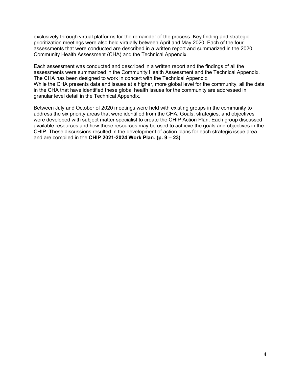exclusively through virtual platforms for the remainder of the process. Key finding and strategic prioritization meetings were also held virtually between April and May 2020. Each of the four assessments that were conducted are described in a written report and summarized in the 2020 Community Health Assessment (CHA) and the Technical Appendix.

Each assessment was conducted and described in a written report and the findings of all the assessments were summarized in the Community Health Assessment and the Technical Appendix. The CHA has been designed to work in concert with the Technical Appendix. While the CHA presents data and issues at a higher, more global level for the community, all the data in the CHA that have identified these global health issues for the community are addressed in granular level detail in the Technical Appendix.

Between July and October of 2020 meetings were held with existing groups in the community to address the six priority areas that were identified from the CHA. Goals, strategies, and objectives were developed with subject matter specialist to create the CHIP Action Plan. Each group discussed available resources and how these resources may be used to achieve the goals and objectives in the CHIP. These discussions resulted in the development of action plans for each strategic issue area and are compiled in the **CHIP 2021-2024 Work Plan. (p. 9 – 23)**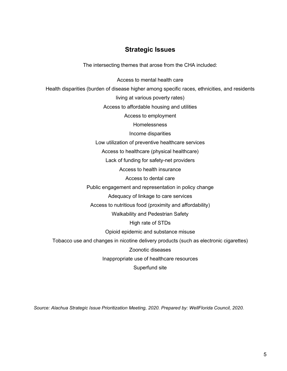## **Strategic Issues**

The intersecting themes that arose from the CHA included:

Access to mental health care

Health disparities (burden of disease higher among specific races, ethnicities, and residents

living at various poverty rates)

Access to affordable housing and utilities

Access to employment

**Homelessness** 

Income disparities

Low utilization of preventive healthcare services

Access to healthcare (physical healthcare)

Lack of funding for safety-net providers

Access to health insurance

Access to dental care

Public engagement and representation in policy change

Adequacy of linkage to care services

Access to nutritious food (proximity and affordability)

Walkability and Pedestrian Safety

High rate of STDs

Opioid epidemic and substance misuse

Tobacco use and changes in nicotine delivery products (such as electronic cigarettes)

Zoonotic diseases

Inappropriate use of healthcare resources

Superfund site

*Source: Alachua Strategic Issue Prioritization Meeting, 2020. Prepared by: WellFlorida Council, 2020.*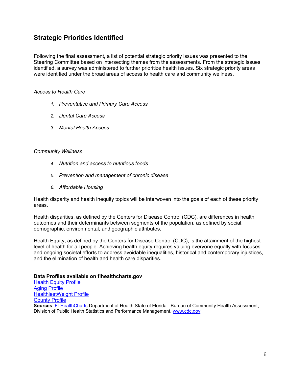# **Strategic Priorities Identified**

Following the final assessment, a list of potential strategic priority issues was presented to the Steering Committee based on intersecting themes from the assessments. From the strategic issues identified, a survey was administered to further prioritize health issues. Six strategic priority areas were identified under the broad areas of access to health care and community wellness.

### *Access to Health Care*

- *1. Preventative and Primary Care Access*
- *2. Dental Care Access*
- *3. Mental Health Access*

### *Community Wellness*

- *4. Nutrition and access to nutritious foods*
- *5. Prevention and management of chronic disease*
- *6. Affordable Housing*

Health disparity and health inequity topics will be interwoven into the goals of each of these priority areas.

Health disparities, as defined by the Centers for Disease Control (CDC), are differences in health outcomes and their determinants between segments of the population, as defined by social, demographic, environmental, and geographic attributes.

Health Equity, as defined by the Centers for Disease Control (CDC), is the attainment of the highest level of health for all people. Achieving health equity requires valuing everyone equally with focuses and ongoing societal efforts to address avoidable inequalities, historical and contemporary injustices, and the elimination of health and health care disparities.

### **Data Profiles available on flhealthcharts.gov**

Health Equity Profile Aging Profile HealthiestWeight Profile County Profile **Sources**: FLHealthCharts Department of Health State of Florida - Bureau of Community Health Assessment, Division of Public Health Statistics and Performance Management, www.cdc.gov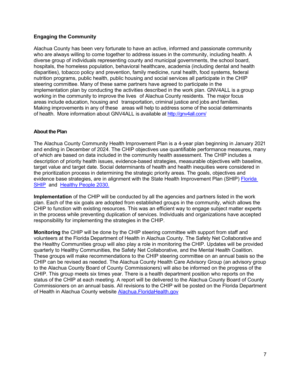### **Engaging the Community**

Alachua County has been very fortunate to have an active, informed and passionate community who are always willing to come together to address issues in the community, including health. A diverse group of individuals representing county and municipal governments, the school board, hospitals, the homeless population, behavioral healthcare, academia (including dental and health disparities), tobacco policy and prevention, family medicine, rural health, food systems, federal nutrition programs, public health, public housing and social services all participate in the CHIP steering committee. Many of these same partners have agreed to participate in the implementation plan by conducting the activities described in the work plan. GNV4ALL is a group working in the community to improve the lives of Alachua County residents. The major focus areas include education, housing and transportation, criminal justice and jobs and families. Making improvements in any of these areas will help to address some of the social determinants of health. More information about GNV4ALL is available at http://gnv4all.com/

### **About the Plan**

The Alachua County Community Health Improvement Plan is a 4-year plan beginning in January 2021 and ending in December of 2024. The CHIP objectives use quantifiable performance measures, many of which are based on data included in the community health assessment. The CHIP includes a description of priority health issues, evidence-based strategies, measurable objectives with baseline, target value and target date. Social determinants of health and health inequities were considered in the prioritization process in determining the strategic priority areas. The goals, objectives and evidence base strategies, are in alignment with the State Health Improvement Plan (SHIP) Florida SHIP and Healthy People 2030.

**Implementation** of the CHIP will be conducted by all the agencies and partners listed in the work plan. Each of the six goals are adopted from established groups in the community, which allows the CHIP to function with existing resources. This was an efficient way to engage subject matter experts in the process while preventing duplication of services. Individuals and organizations have accepted responsibility for implementing the strategies in the CHIP.

**Monitoring** the CHIP will be done by the CHIP steering committee with support from staff and volunteers at the Florida Department of Health in Alachua County. The Safety Net Collaborative and the Healthy Communities group will also play a role in monitoring the CHIP. Updates will be provided quarterly to Healthy Communities, the Safety Net Collaborative, and the Mental Health Coalition. These groups will make recommendations to the CHIP steering committee on an annual basis so the CHIP can be revised as needed. The Alachua County Health Care Advisory Group (an advisory group to the Alachua County Board of County Commissioners) will also be informed on the progress of the CHIP. This group meets six times year. There is a health department position who reports on the status of the CHIP at each meeting. A report will be delivered to the Alachua County Board of County Commissioners on an annual basis. All revisions to the CHIP will be posted on the Florida Department of Health in Alachua County website Alachua.FloridaHealth.gov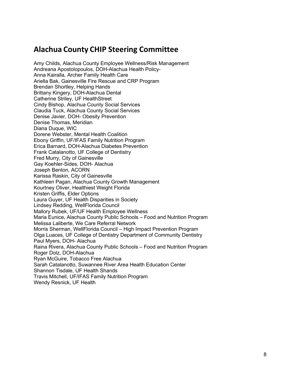# **Alachua County CHIP Steering Committee**

Amy Childs, Alachua County Employee Wellness/Risk Management Andreana Apostolopoulos, DOH-Alachua Health Policy-Anna Kairalla, Archer Family Health Care Ariella Bak, Gainesville Fire Rescue and CRP Program Brendan Shortley, Helping Hands Brittany Kingery, DOH-Alachua Dental Catherine Striley, UF HealthStreet Cindy Bishop, Alachua County Social Services Claudia Tuck, Alachua County Social Services Denise Javier, DOH- Obesity Prevention Denise Thomas, Meridian Diana Duque, WIC Dorene Webster, Mental Health Coalition Ebony Griffin, UF/IFAS Family Nutrition Program Erica Barnard, DOH-Alachua Diabetes Prevention Frank Catalanotto, UF College of Dentistry Fred Murry, City of Gainesville Gay Koehler-Sides, DOH- Alachua Joseph Benton, ACORN Karissa Raskin, City of Gainesville Kathleen Pagan, Alachua County Growth Management Kourtney Oliver, Healthiest Weight Florida Kristen Griffis, Elder Options Laura Guyer, UF Health Disparities in Society Lindsey Redding, WellFlorida Council Mallory Rubek, UF/UF Health Employee Wellness Maria Eunice, Alachua County Public Schools – Food and Nutrition Program Melissa Laliberte, We Care Referral Network Morris Sherman, WellFlorida Council – High Impact Prevention Program Olga Luaces, UF College of Dentistry Department of Community Dentistry Paul Myers, DOH- Alachua Raina Rivera, Alachua County Public Schools – Food and Nutrition Program Roger Dolz, DOH-Alachua Ryan McGuire, Tobacco Free Alachua Sarah Catalanotto, Suwannee River Area Health Education Center Shannon Tisdale, UF Health Shands Travis Mitchell, UF/IFAS Family Nutrition Program Wendy Resnick, UF Health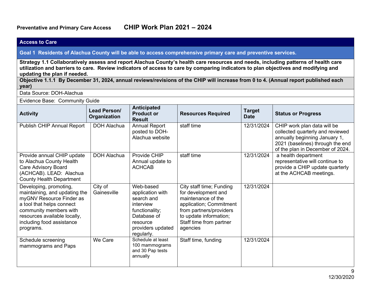#### **Access to Care Goal 1 Residents of Alachua County will be able to access comprehensive primary care and preventive services. Strategy 1.1 Collaboratively assess and report Alachua County's health care resources and needs, including patterns of health care utilization and barriers to care. Review indicators of access to care by comparing indicators to plan objectives and modifying and updating the plan if needed. Objective 1.1.1 By December 31, 2024, annual reviews/revisions of the CHIP will increase from 0 to 4. (Annual report published each year)** Data Source: DOH-Alachua Evidence Base: Community Guide **Activity Lead Person/ Organization Anticipated Product or Result Resources Required Target Status or Progress** Publish CHIP Annual Report | DOH Alachua | Annual Report posted to DOH-Alachua website staff time 12/31/2024 CHIP work plan data will be collected quarterly and reviewed annually beginning January 1, 2021 (baselines) through the end of the plan in December of 2024. Provide annual CHIP update to Alachua County Health Care Advisory Board (ACHCAB). LEAD: Alachua County Health Department DOH Alachua | Provide CHIP Annual update to ACHCAB staff time  $\vert$  12/31/2024  $\vert$  a health department representative will continue to provide a CHIP update quarterly at the ACHCAB meetings. Developing, promoting, maintaining, and updating the myGNV Resource Finder as a tool that helps connect community members with resources available locally, including food assistance programs. City of **Gainesville** Web-based application with search and interview functionality; Database of resource providers updated regularly. City staff time; Funding for development and maintenance of the application; Commitment from partners/providers to update information; Staff time from partner agencies 12/31/2024 Schedule screening mammograms and Paps We Care Schedule at least 100 mammograms and 30 Pap tests annually Staff time, funding 12/31/2024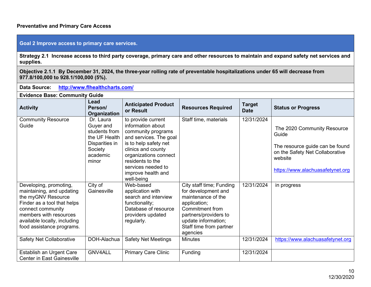### **Preventative and Primary Care Access**

### **Goal 2 Improve access to primary care services.**

**Strategy 2.1 Increase access to third party coverage, primary care and other resources to maintain and expand safety net services and supplies.**

**Objective 2.1.1 By December 31, 2024, the three-year rolling rate of preventable hospitalizations under 65 will decrease from 977.8/100,000 to 928.1/100,000 (5%).**

| <b>Data Source:</b><br>http://www.fihealthcharts.com/                                                                                                                                                                |                                                                                                            |                                                                                                                                                                                                                                               |                                                                                                                                                                                                        |                              |                                                                                                                                                           |  |  |  |
|----------------------------------------------------------------------------------------------------------------------------------------------------------------------------------------------------------------------|------------------------------------------------------------------------------------------------------------|-----------------------------------------------------------------------------------------------------------------------------------------------------------------------------------------------------------------------------------------------|--------------------------------------------------------------------------------------------------------------------------------------------------------------------------------------------------------|------------------------------|-----------------------------------------------------------------------------------------------------------------------------------------------------------|--|--|--|
| <b>Evidence Base: Community Guide</b>                                                                                                                                                                                |                                                                                                            |                                                                                                                                                                                                                                               |                                                                                                                                                                                                        |                              |                                                                                                                                                           |  |  |  |
| <b>Activity</b>                                                                                                                                                                                                      | Lead<br>Person/<br><b>Organization</b>                                                                     | <b>Anticipated Product</b><br>or Result                                                                                                                                                                                                       | <b>Resources Required</b>                                                                                                                                                                              | <b>Target</b><br><b>Date</b> | <b>Status or Progress</b>                                                                                                                                 |  |  |  |
| <b>Community Resource</b><br>Guide                                                                                                                                                                                   | Dr. Laura<br>Guyer and<br>students from<br>the UF Health<br>Disparities in<br>Society<br>academic<br>minor | to provide current<br>information about<br>community programs<br>and services. The goal<br>is to help safety net<br>clinics and county<br>organizations connect<br>residents to the<br>services needed to<br>improve health and<br>well-being | Staff time, materials                                                                                                                                                                                  | 12/31/2024                   | The 2020 Community Resource<br>Guide<br>The resource guide can be found<br>on the Safety Net Collaborative<br>website<br>https://www.alachuasafetynet.org |  |  |  |
| Developing, promoting,<br>maintaining, and updating<br>the myGNV Resource<br>Finder as a tool that helps<br>connect community<br>members with resources<br>available locally, including<br>food assistance programs. | City of<br>Gainesville                                                                                     | Web-based<br>application with<br>search and interview<br>functionality;<br>Database of resource<br>providers updated<br>regularly.                                                                                                            | City staff time; Funding<br>for development and<br>maintenance of the<br>application;<br><b>Commitment from</b><br>partners/providers to<br>update information;<br>Staff time from partner<br>agencies | 12/31/2024                   | in progress                                                                                                                                               |  |  |  |
| <b>Safety Net Collaborative</b>                                                                                                                                                                                      | DOH-Alachua                                                                                                | <b>Safety Net Meetings</b>                                                                                                                                                                                                                    | <b>Minutes</b>                                                                                                                                                                                         | 12/31/2024                   | https://www.alachuasafetynet.org                                                                                                                          |  |  |  |
| Establish an Urgent Care<br><b>Center in East Gainesville</b>                                                                                                                                                        | <b>GNV4ALL</b>                                                                                             | <b>Primary Care Clinic</b>                                                                                                                                                                                                                    | Funding                                                                                                                                                                                                | 12/31/2024                   |                                                                                                                                                           |  |  |  |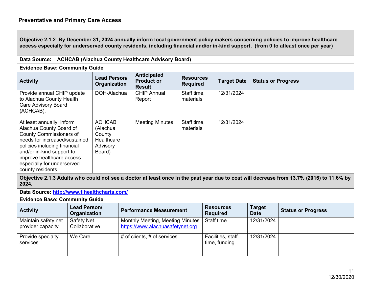**Objective 2.1.2 By December 31, 2024 annually inform local government policy makers concerning policies to improve healthcare access especially for underserved county residents, including financial and/or in-kind support. (from 0 to atleast once per year)**

| Data Source: ACHCAB (Alachua County Healthcare Advisory Board)                                                                                                                                                                                                      |                                                                         |                                                          |                                     |                    |                           |  |  |  |
|---------------------------------------------------------------------------------------------------------------------------------------------------------------------------------------------------------------------------------------------------------------------|-------------------------------------------------------------------------|----------------------------------------------------------|-------------------------------------|--------------------|---------------------------|--|--|--|
| <b>Evidence Base: Community Guide</b>                                                                                                                                                                                                                               |                                                                         |                                                          |                                     |                    |                           |  |  |  |
| <b>Activity</b>                                                                                                                                                                                                                                                     | <b>Lead Person/</b><br>Organization                                     | <b>Anticipated</b><br><b>Product or</b><br><b>Result</b> | <b>Resources</b><br><b>Required</b> | <b>Target Date</b> | <b>Status or Progress</b> |  |  |  |
| Provide annual CHIP update<br>to Alachua County Health<br><b>Care Advisory Board</b><br>(ACHCAB).                                                                                                                                                                   | DOH-Alachua                                                             | <b>CHIP Annual</b><br>Report                             | Staff time,<br>materials            | 12/31/2024         |                           |  |  |  |
| At least annually, inform<br>Alachua County Board of<br><b>County Commissioners of</b><br>needs for increased/sustained<br>policies including financial<br>and/or in-kind support to<br>improve healthcare access<br>especially for underserved<br>county residents | <b>ACHCAB</b><br>(Alachua<br>County<br>Healthcare<br>Advisory<br>Board) | <b>Meeting Minutes</b>                                   | Staff time,<br>materials            | 12/31/2024         |                           |  |  |  |

**Objective 2.1.3 Adults who could not see a doctor at least once in the past year due to cost will decrease from 13.7% (2016) to 11.6% by 2024.** 

**Data Source: http://www.flhealthcharts.com/**

**Evidence Base: Community Guide** 

| <b>Activity</b>                          | Lead Person/<br>Organization | <b>Performance Measurement</b>                                       | <b>Resources</b><br><b>Required</b> | <b>Target</b><br><b>Date</b> | <b>Status or Progress</b> |
|------------------------------------------|------------------------------|----------------------------------------------------------------------|-------------------------------------|------------------------------|---------------------------|
| Maintain safety net<br>provider capacity | Safety Net<br>Collaborative  | Monthly Meeting, Meeting Minutes<br>https://www.alachuasafetynet.org | Staff time                          | 12/31/2024                   |                           |
| Provide specialty<br>services            | We Care                      | # of clients, $#$ of services                                        | Facilities, staff<br>time, funding  | 12/31/2024                   |                           |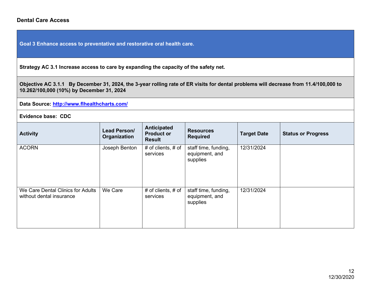### **Dental Care Access**

**Goal 3 Enhance access to preventative and restorative oral health care.** 

**Strategy AC 3.1 Increase access to care by expanding the capacity of the safety net.** 

**Objective AC 3.1.1 By December 31, 2024, the 3-year rolling rate of ER visits for dental problems will decrease from 11.4/100,000 to 10.262/100,000 (10%) by December 31, 2024**

**Data Source: http://www.flhealthcharts.com/**

| <b>Activity</b>                                               | Lead Person/<br>Organization | Anticipated<br><b>Product or</b><br><b>Result</b> | <b>Resources</b><br><b>Required</b>                | <b>Target Date</b> | <b>Status or Progress</b> |
|---------------------------------------------------------------|------------------------------|---------------------------------------------------|----------------------------------------------------|--------------------|---------------------------|
| <b>ACORN</b>                                                  | Joseph Benton                | # of clients, $#$ of<br>services                  | staff time, funding,<br>equipment, and<br>supplies | 12/31/2024         |                           |
| We Care Dental Clinics for Adults<br>without dental insurance | We Care                      | # of clients, $#$ of<br>services                  | staff time, funding,<br>equipment, and<br>supplies | 12/31/2024         |                           |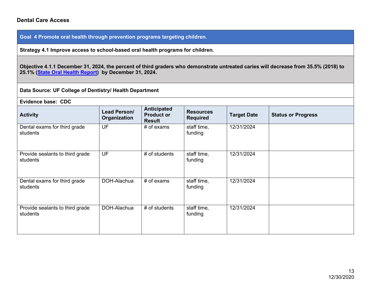### **Dental Care Access**

**Goal 4 Promote oral health through prevention programs targeting children.** 

**Strategy 4.1 Improve access to school-based oral health programs for children.** 

**Objective 4.1.1 December 31, 2024, the percent of third graders who demonstrate untreated caries will decrease from 35.5% (2018) to 25.1% (State Oral Health Report) by December 31, 2024.** 

**Data Source: UF College of Dentistry/ Health Department**

| Evidence base: CDC                          |                              |                                                          |                                     |                    |                           |  |  |  |
|---------------------------------------------|------------------------------|----------------------------------------------------------|-------------------------------------|--------------------|---------------------------|--|--|--|
| <b>Activity</b>                             | Lead Person/<br>Organization | <b>Anticipated</b><br><b>Product or</b><br><b>Result</b> | <b>Resources</b><br><b>Required</b> | <b>Target Date</b> | <b>Status or Progress</b> |  |  |  |
| Dental exams for third grade<br>students    | UF                           | $#$ of exams                                             | staff time,<br>funding              | 12/31/2024         |                           |  |  |  |
| Provide sealants to third grade<br>students | <b>UF</b>                    | # of students                                            | staff time,<br>funding              | 12/31/2024         |                           |  |  |  |
| Dental exams for third grade<br>students    | DOH-Alachua                  | $#$ of exams                                             | staff time,<br>funding              | 12/31/2024         |                           |  |  |  |
| Provide sealants to third grade<br>students | DOH-Alachua                  | # of students                                            | staff time,<br>funding              | 12/31/2024         |                           |  |  |  |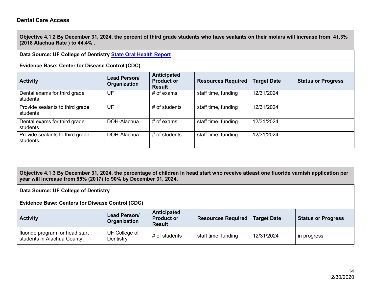**Objective 4.1.2 By December 31, 2024, the percent of third grade students who have sealants on their molars will increase from 41.3% (2018 Alachua Rate ) to 44.4% .** 

**Data Source: UF College of Dentistry State Oral Health Report**

**Evidence Base: Center for Disease Control (CDC)**

| <b>Activity</b>                             | Lead Person/<br>Organization | Anticipated<br><b>Product or</b><br><b>Result</b> | <b>Resources Required</b> | <b>Target Date</b> | <b>Status or Progress</b> |
|---------------------------------------------|------------------------------|---------------------------------------------------|---------------------------|--------------------|---------------------------|
| Dental exams for third grade<br>students    | UF                           | $#$ of exams                                      | staff time, funding       | 12/31/2024         |                           |
| Provide sealants to third grade<br>students | UF                           | $#$ of students                                   | staff time, funding       | 12/31/2024         |                           |
| Dental exams for third grade<br>students    | DOH-Alachua                  | $#$ of exams                                      | staff time, funding       | 12/31/2024         |                           |
| Provide sealants to third grade<br>students | DOH-Alachua                  | $#$ of students                                   | staff time, funding       | 12/31/2024         |                           |

**Objective 4.1.3 By December 31, 2024, the percentage of children in head start who receive atleast one fluoride varnish application per year will increase from 85% (2017) to 90% by December 31, 2024.**

**Data Source: UF College of Dentistry**

**Evidence Base: Centers for Disease Control (CDC)**

| <b>Activity</b>                                               | Lead Person/<br>Organization | Anticipated<br><b>Product or</b><br><b>Result</b> | <b>Resources Required</b> | <b>Target Date</b> | <b>Status or Progress</b> |
|---------------------------------------------------------------|------------------------------|---------------------------------------------------|---------------------------|--------------------|---------------------------|
| fluoride program for head start<br>students in Alachua County | UF College of<br>Dentistry   | $#$ of students                                   | staff time, funding       | 12/31/2024         | in progress               |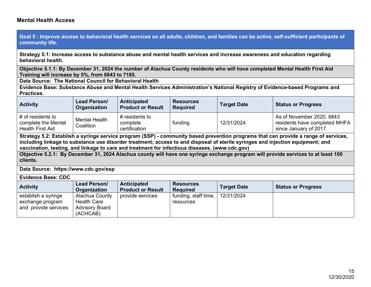**Goal 5 : Improve access to behavioral health services so all adults, children, and families can be active, self-sufficient participants of community life.**

**Strategy 5.1: Increase access to substance abuse and mental health services and increase awareness and education regarding behavioral health.**

**Objective 5.1.1: By December 31, 2024 the number of Alachua County residents who will have completed Mental Health First Aid Training will increase by 5%, from 6843 to 7185.** 

**Data Source: The National Council for Behavioral Health** 

**Evidence Base: Substance Abuse and Mental Health Services Administration's National Registry of Evidence-based Programs and Practices.**

| <b>Activity</b>                                                                                                                                                                                                                                       | Lead Person/<br>Organization      | Anticipated<br><b>Product or Result</b>     | <b>Resources</b><br><b>Required</b> | <b>Target Date</b> | <b>Status or Progress</b>                                                            |  |
|-------------------------------------------------------------------------------------------------------------------------------------------------------------------------------------------------------------------------------------------------------|-----------------------------------|---------------------------------------------|-------------------------------------|--------------------|--------------------------------------------------------------------------------------|--|
| # of residents to<br>complete the Mental<br><b>Health First Aid</b>                                                                                                                                                                                   | <b>Mental Health</b><br>Coalition | # residents to<br>complete<br>certification | funding                             | 12/31/2024         | As of November 2020, 6843<br>residents have completed MHFA<br>since January of 2017. |  |
| Strategy 5.2: Establish a syringe service program (SSP) - community based prevention programs that can provide a range of services,<br>The Property of the Lands of the Holly and a control of the California (Alabam and the California and the Cali |                                   |                                             |                                     |                    |                                                                                      |  |

**including linkage to substance use disorder treatment; access to and disposal of sterile syringes and injection equipment; and vaccination, testing, and linkage to care and treatment for infectious diseases. (www.cdc.gov)**

**Objective 5.2.1: By December 31, 2024 Alachua county will have one syringe exchange program will provide services to at least 100 clients.** 

**Data Source: https://www.cdc.gov/ssp**

**Evidence Base: CDC Activity Lead Person/ Organization Anticipated Product or Result Resources Required Target Date Status or Progress** establish a syringe exchange program and provide services Alachua County Health Care Advisory Board (ACHCAB) provide services  $\vert$  funding, staff time, resources 12/31/2024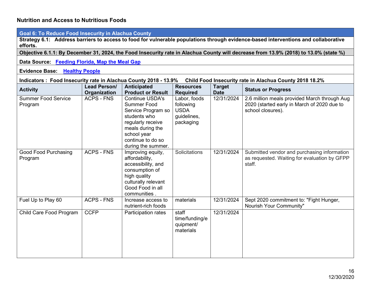| <b>Goal 6: To Reduce Food Insecurity in Alachua County</b>                                                                           |                                                                                                                                    |                                                                                                                                                                                       |                                                                      |                              |                                                                                                                  |  |  |  |  |
|--------------------------------------------------------------------------------------------------------------------------------------|------------------------------------------------------------------------------------------------------------------------------------|---------------------------------------------------------------------------------------------------------------------------------------------------------------------------------------|----------------------------------------------------------------------|------------------------------|------------------------------------------------------------------------------------------------------------------|--|--|--|--|
| efforts.                                                                                                                             | Strategy 6.1: Address barriers to access to food for vulnerable populations through evidence-based interventions and collaborative |                                                                                                                                                                                       |                                                                      |                              |                                                                                                                  |  |  |  |  |
| Objective 6.1.1: By December 31, 2024, the Food Insecurity rate in Alachua County will decrease from 13.9% (2018) to 13.0% (state %) |                                                                                                                                    |                                                                                                                                                                                       |                                                                      |                              |                                                                                                                  |  |  |  |  |
| Data Source: Feeding Florida, Map the Meal Gap                                                                                       |                                                                                                                                    |                                                                                                                                                                                       |                                                                      |                              |                                                                                                                  |  |  |  |  |
| <b>Evidence Base: Healthy People</b>                                                                                                 |                                                                                                                                    |                                                                                                                                                                                       |                                                                      |                              |                                                                                                                  |  |  |  |  |
| Indicators : Food Insecurity rate in Alachua County 2018 - 13.9%                                                                     |                                                                                                                                    |                                                                                                                                                                                       |                                                                      |                              | Child Food Insecurity rate in Alachua County 2018 18.2%                                                          |  |  |  |  |
| <b>Activity</b>                                                                                                                      | Lead Person/<br>Organization                                                                                                       | <b>Anticipated</b><br><b>Product or Result</b>                                                                                                                                        | <b>Resources</b><br><b>Required</b>                                  | <b>Target</b><br><b>Date</b> | <b>Status or Progress</b>                                                                                        |  |  |  |  |
| <b>Summer Food Service</b><br>Program                                                                                                | <b>ACPS - FNS</b>                                                                                                                  | <b>Continue USDA's</b><br><b>Summer Food</b><br>Service Program so<br>students who<br>regularly receive<br>meals during the<br>school year<br>continue to do so<br>during the summer. | Labor, foods<br>following<br><b>USDA</b><br>guidelines,<br>packaging | 12/31/2024                   | 2.6 million meals provided March through Aug<br>2020 (started early in March of 2020 due to<br>school closures). |  |  |  |  |
| Good Food Purchasing<br>Program                                                                                                      | <b>ACPS - FNS</b>                                                                                                                  | Improving equity,<br>affordability,<br>accessibility, and<br>consumption of<br>high quality<br>culturally relevant<br>Good Food in all<br>communities                                 | Solicitations                                                        | 12/31/2024                   | Submitted vendor and purchasing information<br>as requested. Waiting for evaluation by GFPP<br>staff.            |  |  |  |  |
| Fuel Up to Play 60                                                                                                                   | <b>ACPS - FNS</b>                                                                                                                  | Increase access to<br>nutrient-rich foods                                                                                                                                             | materials                                                            | 12/31/2024                   | Sept 2020 commitment to: "Fight Hunger,<br>Nourish Your Community"                                               |  |  |  |  |
| Child Care Food Program                                                                                                              | <b>CCFP</b>                                                                                                                        | Participation rates                                                                                                                                                                   | staff<br>time/funding/e<br>quipment/<br>materials                    | 12/31/2024                   |                                                                                                                  |  |  |  |  |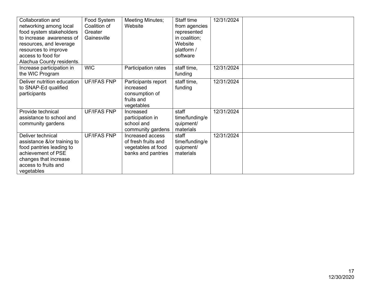| Collaboration and<br>networking among local<br>food system stakeholders<br>to increase awareness of<br>resources, and leverage<br>resources to improve<br>access to food for<br>Alachua County residents. | Food System<br>Coalition of<br>Greater<br>Gainesville | Meeting Minutes;<br>Website                                                         | Staff time<br>from agencies<br>represented<br>in coalition;<br>Website<br>platform /<br>software | 12/31/2024 |  |
|-----------------------------------------------------------------------------------------------------------------------------------------------------------------------------------------------------------|-------------------------------------------------------|-------------------------------------------------------------------------------------|--------------------------------------------------------------------------------------------------|------------|--|
| Increase participation in<br>the WIC Program                                                                                                                                                              | <b>WIC</b>                                            | Participation rates                                                                 | staff time,<br>funding                                                                           | 12/31/2024 |  |
| Deliver nutrition education<br>to SNAP-Ed qualified<br>participants                                                                                                                                       | <b>UF/IFAS FNP</b>                                    | Participants report<br>increased<br>consumption of<br>fruits and<br>vegetables      | staff time,<br>funding                                                                           | 12/31/2024 |  |
| Provide technical<br>assistance to school and<br>community gardens                                                                                                                                        | <b>UF/IFAS FNP</b>                                    | Increased<br>participation in<br>school and<br>community gardens                    | staff<br>time/funding/e<br>quipment/<br>materials                                                | 12/31/2024 |  |
| Deliver technical<br>assistance &/or training to<br>food pantries leading to<br>achievement of PSE<br>changes that increase<br>access to fruits and<br>vegetables                                         | <b>UF/IFAS FNP</b>                                    | Increased access<br>of fresh fruits and<br>vegetables at food<br>banks and pantries | staff<br>time/funding/e<br>quipment/<br>materials                                                | 12/31/2024 |  |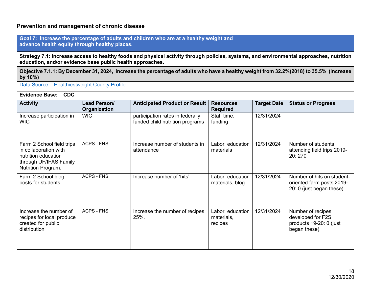### **Prevention and management of chronic disease**

**Goal 7: Increase the percentage of adults and children who are at a healthy weight and advance health equity through healthy places.**

**Strategy 7.1: Increase access to healthy foods and physical activity through policies, systems, and environmental approaches, nutrition education, and/or evidence base public health approaches.** 

**Objective 7.1.1: By December 31, 2024, increase the percentage of adults who have a healthy weight from 32.2%(2018) to 35.5% (increase by 10%)** 

Data Source: Healthiestweight County Profile

| <b>Activity</b>                                                                                                           | Lead Person/<br>Organization | <b>Anticipated Product or Result</b>                                | <b>Resources</b><br><b>Required</b>       | <b>Target Date</b> | <b>Status or Progress</b>                                                           |  |  |  |  |
|---------------------------------------------------------------------------------------------------------------------------|------------------------------|---------------------------------------------------------------------|-------------------------------------------|--------------------|-------------------------------------------------------------------------------------|--|--|--|--|
| Increase participation in<br><b>WIC</b>                                                                                   | <b>WIC</b>                   | participation rates in federally<br>funded child nutrition programs | Staff time,<br>funding                    | 12/31/2024         |                                                                                     |  |  |  |  |
| Farm 2 School field trips<br>in collaboration with<br>nutrition education<br>through UF/IFAS Family<br>Nutrition Program. | <b>ACPS - FNS</b>            | Increase number of students in<br>attendance                        | Labor, education<br>materials             | 12/31/2024         | Number of students<br>attending field trips 2019-<br>20:270                         |  |  |  |  |
| Farm 2 School blog<br>posts for students                                                                                  | <b>ACPS - FNS</b>            | Increase number of 'hits'                                           | Labor, education<br>materials, blog       | 12/31/2024         | Number of hits on student-<br>oriented farm posts 2019-<br>20: 0 (just began these) |  |  |  |  |
| Increase the number of<br>recipes for local produce<br>created for public<br>distribution                                 | <b>ACPS - FNS</b>            | Increase the number of recipes<br>25%.                              | Labor, education<br>materials,<br>recipes | 12/31/2024         | Number of recipes<br>developed for F2S<br>products 19-20: 0 (just<br>began these).  |  |  |  |  |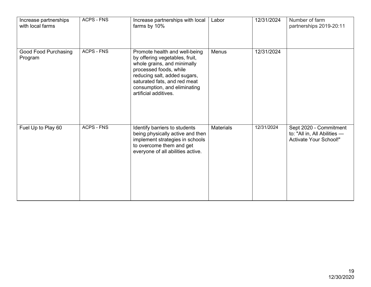| Increase partnerships<br>with local farms | <b>ACPS - FNS</b> | Increase partnerships with local<br>farms by 10%                                                                                                                                                                                                  | Labor            | 12/31/2024 | Number of farm<br>partnerships 2019-20:11                                               |
|-------------------------------------------|-------------------|---------------------------------------------------------------------------------------------------------------------------------------------------------------------------------------------------------------------------------------------------|------------------|------------|-----------------------------------------------------------------------------------------|
| Good Food Purchasing<br>Program           | <b>ACPS - FNS</b> | Promote health and well-being<br>by offering vegetables, fruit,<br>whole grains, and minimally<br>processed foods, while<br>reducing salt, added sugars,<br>saturated fats, and red meat<br>consumption, and eliminating<br>artificial additives. | Menus            | 12/31/2024 |                                                                                         |
| Fuel Up to Play 60                        | <b>ACPS - FNS</b> | Identify barriers to students<br>being physically active and then<br>implement strategies in schools<br>to overcome them and get<br>everyone of all abilities active.                                                                             | <b>Materials</b> | 12/31/2024 | Sept 2020 - Commitment<br>to: "All in, All Abilities -<br><b>Activate Your School!"</b> |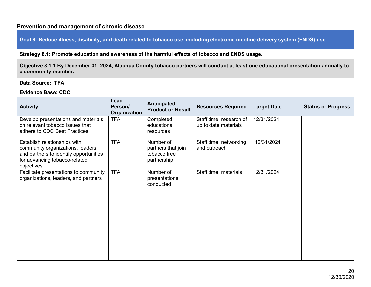### **Prevention and management of chronic disease**

**Goal 8: Reduce illness, disability, and death related to tobacco use, including electronic nicotine delivery system (ENDS) use.**

**Strategy 8.1: Promote education and awareness of the harmful effects of tobacco and ENDS usage.**

**Objective 8.1.1 By December 31, 2024, Alachua County tobacco partners will conduct at least one educational presentation annually to a community member.**

**Data Source: TFA** 

| <b>Activity</b>                                                                                                                                             | Lead<br>Person/<br>Organization | <b>Anticipated</b><br><b>Product or Result</b>                 | <b>Resources Required</b>                       | <b>Target Date</b> | <b>Status or Progress</b> |
|-------------------------------------------------------------------------------------------------------------------------------------------------------------|---------------------------------|----------------------------------------------------------------|-------------------------------------------------|--------------------|---------------------------|
| Develop presentations and materials<br>on relevant tobacco issues that<br>adhere to CDC Best Practices.                                                     | <b>TFA</b>                      | Completed<br>educational<br>resources                          | Staff time, research of<br>up to date materials | 12/31/2024         |                           |
| Establish relationships with<br>community organizations, leaders,<br>and partners to identify opportunities<br>for advancing tobacco-related<br>objectives. | <b>TFA</b>                      | Number of<br>partners that join<br>tobacco free<br>partnership | Staff time, networking<br>and outreach          | 12/31/2024         |                           |
| Facilitate presentations to community<br>organizations, leaders, and partners                                                                               | <b>TFA</b>                      | Number of<br>presentations<br>conducted                        | Staff time, materials                           | 12/31/2024         |                           |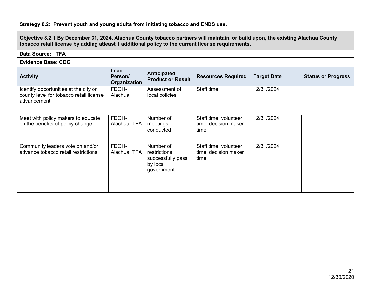**Strategy 8.2: Prevent youth and young adults from initiating tobacco and ENDS use.**

**Objective 8.2.1 By December 31, 2024, Alachua County tobacco partners will maintain, or build upon, the existing Alachua County tobacco retail license by adding atleast 1 additional policy to the current license requirements.** 

### **Data Source: TFA**

| <b>Activity</b>                                                                                  | Lead<br>Person/<br>Organization | <b>Anticipated</b><br><b>Product or Result</b>                           | <b>Resources Required</b>                             | <b>Target Date</b> | <b>Status or Progress</b> |
|--------------------------------------------------------------------------------------------------|---------------------------------|--------------------------------------------------------------------------|-------------------------------------------------------|--------------------|---------------------------|
| Identify opportunities at the city or<br>county level for tobacco retail license<br>advancement. | FDOH-<br>Alachua                | Assessment of<br>local policies                                          | Staff time                                            | 12/31/2024         |                           |
| Meet with policy makers to educate<br>on the benefits of policy change.                          | FDOH-<br>Alachua, TFA           | Number of<br>meetings<br>conducted                                       | Staff time, volunteer<br>time, decision maker<br>time | 12/31/2024         |                           |
| Community leaders vote on and/or<br>advance tobacco retail restrictions.                         | FDOH-<br>Alachua, TFA           | Number of<br>restrictions<br>successfully pass<br>by local<br>government | Staff time, volunteer<br>time, decision maker<br>time | 12/31/2024         |                           |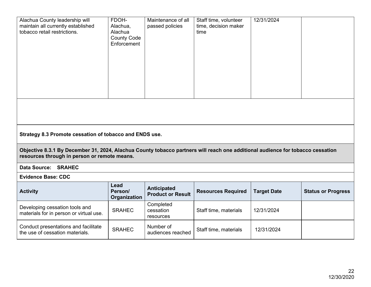| Alachua County leadership will<br>maintain all currently established<br>tobacco retail restrictions. | FDOH-<br>Alachua,<br>Alachua<br><b>County Code</b><br>Enforcement | Maintenance of all<br>passed policies | Staff time, volunteer<br>time, decision maker<br>time | 12/31/2024 |  |
|------------------------------------------------------------------------------------------------------|-------------------------------------------------------------------|---------------------------------------|-------------------------------------------------------|------------|--|
|                                                                                                      |                                                                   |                                       |                                                       |            |  |

**Strategy 8.3 Promote cessation of tobacco and ENDS use.**

**Objective 8.3.1 By December 31, 2024, Alachua County tobacco partners will reach one additional audience for tobacco cessation resources through in person or remote means.**

**Data Source: SRAHEC** 

| <b>Activity</b>                                                           | Lead<br>Person/<br>Organization | <b>Anticipated</b><br><b>Product or Result</b> | <b>Resources Required</b> | <b>Target Date</b> | <b>Status or Progress</b> |
|---------------------------------------------------------------------------|---------------------------------|------------------------------------------------|---------------------------|--------------------|---------------------------|
| Developing cessation tools and<br>materials for in person or virtual use. | <b>SRAHEC</b>                   | Completed<br>cessation<br>resources            | Staff time, materials     | 12/31/2024         |                           |
| Conduct presentations and facilitate<br>the use of cessation materials.   | <b>SRAHEC</b>                   | Number of<br>audiences reached                 | Staff time, materials     | 12/31/2024         |                           |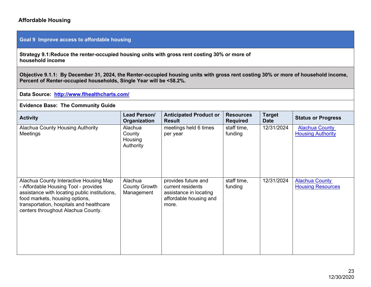### **Affordable Housing**

### **Goal 9 Improve access to affordable housing**

**Strategy 9.1:Reduce the renter-occupied housing units with gross rent costing 30% or more of household income**

**Objective 9.1.1: By December 31, 2024, the Renter-occupied housing units with gross rent costing 30% or more of household income, Percent of Renter-occupied households, Single Year will be <58.2%.** 

**Data Source: http://www.flhealthcharts.com/**

### **Evidence Base: The Community Guide**

| <b>Activity</b>                                                                                                                                                                                                                                     | <b>Lead Person/</b><br>Organization           | <b>Anticipated Product or</b><br><b>Result</b>                                                        | <b>Resources</b><br><b>Required</b> | <b>Target</b><br><b>Date</b> | <b>Status or Progress</b>                         |
|-----------------------------------------------------------------------------------------------------------------------------------------------------------------------------------------------------------------------------------------------------|-----------------------------------------------|-------------------------------------------------------------------------------------------------------|-------------------------------------|------------------------------|---------------------------------------------------|
| Alachua County Housing Authority<br>Meetings                                                                                                                                                                                                        | Alachua<br>County<br>Housing<br>Authority     | meetings held 6 times<br>per year                                                                     | staff time,<br>funding              | 12/31/2024                   | <b>Alachua County</b><br><b>Housing Authority</b> |
| Alachua County Interactive Housing Map<br>- Affordable Housing Tool - provides<br>assistance with locating public institutions,<br>food markets, housing options,<br>transportation, hospitals and healthcare<br>centers throughout Alachua County. | Alachua<br><b>County Growth</b><br>Management | provides future and<br>current residents<br>assistance in locating<br>affordable housing and<br>more. | staff time,<br>funding              | 12/31/2024                   | <b>Alachua County</b><br><b>Housing Resources</b> |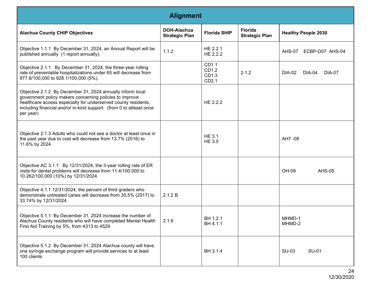| <b>Alignment</b>                                                                                                                                                                                                                                                            |                                      |                                  |                                         |                                   |  |  |
|-----------------------------------------------------------------------------------------------------------------------------------------------------------------------------------------------------------------------------------------------------------------------------|--------------------------------------|----------------------------------|-----------------------------------------|-----------------------------------|--|--|
| <b>Alachua County CHIP Objectives</b>                                                                                                                                                                                                                                       | DOH-Alachua<br><b>Strategic Plan</b> | <b>Florida SHIP</b>              | <b>Florida</b><br><b>Strategic Plan</b> | <b>Healthy People 2030</b>        |  |  |
| Objective 1.1.1 By December 31, 2024, an Annual Report will be<br>published annually (1 report annually).                                                                                                                                                                   | 1.1.2                                | HE 2.2.1<br>HE 2.2.2             |                                         | AHS-07<br>ECBP-D07 AHS-04         |  |  |
| Objective 2.1.1 By December 31, 2024, the three-year rolling<br>rate of preventable hospitalizations under 65 will decrease from<br>977.8/100,000 to 928.1/100,000 (5%).                                                                                                    |                                      | CD1.1<br>CD1.2<br>CD1.3<br>CD2.1 | 2.1.2                                   | DIA-02<br>DIA-04<br><b>DIA-07</b> |  |  |
| Objective 2.1.2 By December 31, 2024 annually inform local<br>government policy makers concerning policies to improve<br>healthcare access especially for underserved county residents,<br>including financial and/or in-kind support. (from 0 to atleast once<br>per year) |                                      | HE 2.2.2                         |                                         |                                   |  |  |
| Objective 2.1.3 Adults who could not see a doctor at least once in<br>the past year due to cost will decrease from 13.7% (2016) to<br>11.6% by 2024.                                                                                                                        |                                      | <b>HE 3.1</b><br><b>HE 3.5</b>   |                                         | AH7 -08                           |  |  |
| Objective AC 3.1.1 By 12/31/2024, the 3-year rolling rate of ER<br>visits for dental problems will decrease from 11.4/100,000 to<br>10.262/100,000 (10%) by 12/31/2024                                                                                                      |                                      |                                  |                                         | OH-09<br><b>AHS-05</b>            |  |  |
| Objective 4.1.1 12/31/2024, the percent of third graders who<br>demonstrate untreated caries will decrease from 35.5% (2017) to<br>33.74% by 12/31/2024.                                                                                                                    | 2.1.2 B                              |                                  |                                         |                                   |  |  |
| Objective 5.1.1: By December 31, 2024 increase the number of<br>Alachua County residents who will have completed Mental Health<br>First Aid Training by 5%, from 4313 to 4529                                                                                               | 2.1.6                                | BH 1.2.1<br>BH 4.1.1             |                                         | MHMD-1<br>MHMD-2                  |  |  |
| Objective 5.1.2 By December 31, 2024 Alachua county will have<br>one syringe exchange program will provide services to at least<br>100 clients                                                                                                                              |                                      | BH 3.1.4                         |                                         | <b>SU-03</b><br><b>SU-01</b>      |  |  |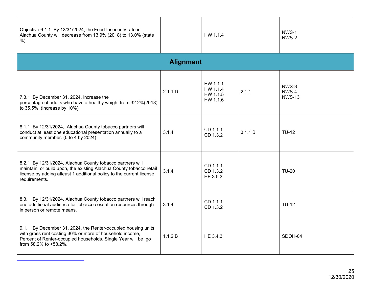| Objective 6.1.1 By 12/31/2024, the Food Insecurity rate in<br>Alachua County will decrease from 13.9% (2018) to 13.0% (state<br>$%$ )                                                                                     |                  | HW 1.1.4                                     |         | NWS-1<br>NWS-2                  |  |  |  |  |  |
|---------------------------------------------------------------------------------------------------------------------------------------------------------------------------------------------------------------------------|------------------|----------------------------------------------|---------|---------------------------------|--|--|--|--|--|
|                                                                                                                                                                                                                           | <b>Alignment</b> |                                              |         |                                 |  |  |  |  |  |
| 7.3.1 By December 31, 2024, increase the<br>percentage of adults who have a healthy weight from 32.2%(2018)<br>to 35.5% (increase by 10%)                                                                                 | 2.1.1 D          | HW 1.1.1<br>HW 1.1.4<br>HW 1.1.5<br>HW 1.1.6 | 2.1.1   | NWS-3<br>NWS-4<br><b>NWS-13</b> |  |  |  |  |  |
| 8.1.1 By 12/31/2024, Alachua County tobacco partners will<br>conduct at least one educational presentation annually to a<br>community member. (0 to 4 by 2024)                                                            | 3.1.4            | CD 1.1.1<br>CD 1.3.2                         | 3.1.1 B | <b>TU-12</b>                    |  |  |  |  |  |
| 8.2.1 By 12/31/2024, Alachua County tobacco partners will<br>maintain, or build upon, the existing Alachua County tobacco retail<br>license by adding atleast 1 additional policy to the current license<br>requirements. | 3.1.4            | CD 1.1.1<br>CD 1.3.2<br>HE 3.5.3             |         | <b>TU-20</b>                    |  |  |  |  |  |
| 8.3.1 By 12/31/2024, Alachua County tobacco partners will reach<br>one additional audience for tobacco cessation resources through<br>in person or remote means.                                                          | 3.1.4            | CD 1.1.1<br>CD 1.3.2                         |         | <b>TU-12</b>                    |  |  |  |  |  |
| 9.1.1 By December 31, 2024, the Renter-occupied housing units<br>with gross rent costing 30% or more of household income,<br>Percent of Renter-occupied households, Single Year will be go<br>from 58.2% to <58.2%.       | 1.1.2 B          | HE 3.4.3                                     |         | SDOH-04                         |  |  |  |  |  |